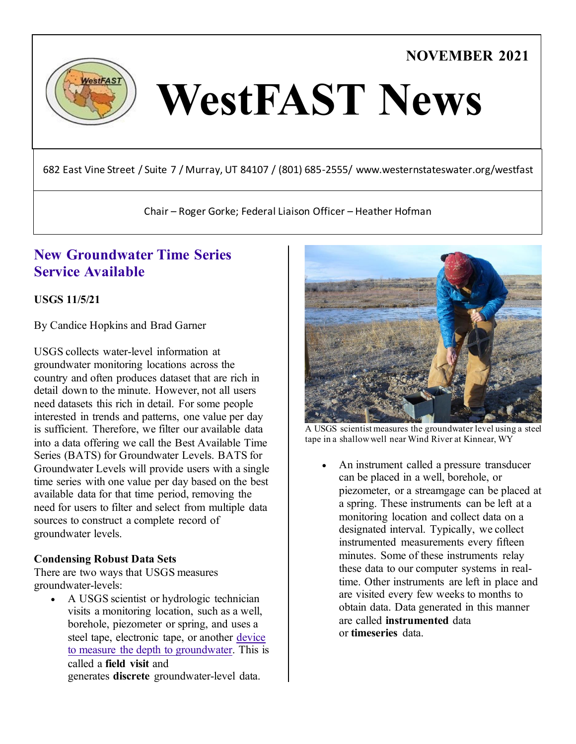# **NOVEMBER 2021**



# WestFAST News

682 East Vine Street / Suite 7 / Murray, UT 84107 / (801) 685-2555/ www.westernstateswater.org/westfast

Chair – Roger Gorke; Federal Liaison Officer – Heather Hofman

# **[New Groundwater Time Series](https://waterdata.usgs.gov/blog/gw_bats/)  [Service Available](https://waterdata.usgs.gov/blog/gw_bats/)**

**USGS 11/5/21**

By Candice Hopkins and Brad Garner

USGS collects water-level information at groundwater monitoring locations across the country and often produces dataset that are rich in detail down to the minute. However, not all users need datasets this rich in detail. For some people interested in trends and patterns, one value per day is sufficient. Therefore, we filter our available data into a data offering we call the Best Available Time Series (BATS) for Groundwater Levels. BATS for Groundwater Levels will provide users with a single time series with one value per day based on the best available data for that time period, removing the need for users to filter and select from multiple data sources to construct a complete record of groundwater levels.

#### **Condensing Robust Data Sets**

There are two ways that USGS measures groundwater-levels:

A USGS scientist or hydrologic technician visits a monitoring location, such as a well, borehole, piezometer or spring, and uses a steel tape, electronic tape, or another [device](https://www.usgs.gov/special-topic/water-science-school/science/how-do-hydrologists-locate-groundwater?qt-science_center_objects=0#qt-science_center_objects)  [to measure the depth to groundwater.](https://www.usgs.gov/special-topic/water-science-school/science/how-do-hydrologists-locate-groundwater?qt-science_center_objects=0#qt-science_center_objects) This is called a **field visit** and generates **discrete** groundwater-level data.



A USGS scientist measures the groundwater level using a steel tape in a shallow well near Wind River at Kinnear, WY

An instrument called a pressure transducer can be placed in a well, borehole, or piezometer, or a streamgage can be placed at a spring. These instruments can be left at a monitoring location and collect data on a designated interval. Typically, we collect instrumented measurements every fifteen minutes. Some of these instruments relay these data to our computer systems in realtime. Other instruments are left in place and are visited every few weeks to months to obtain data. Data generated in this manner are called **instrumented** data or **timeseries** data.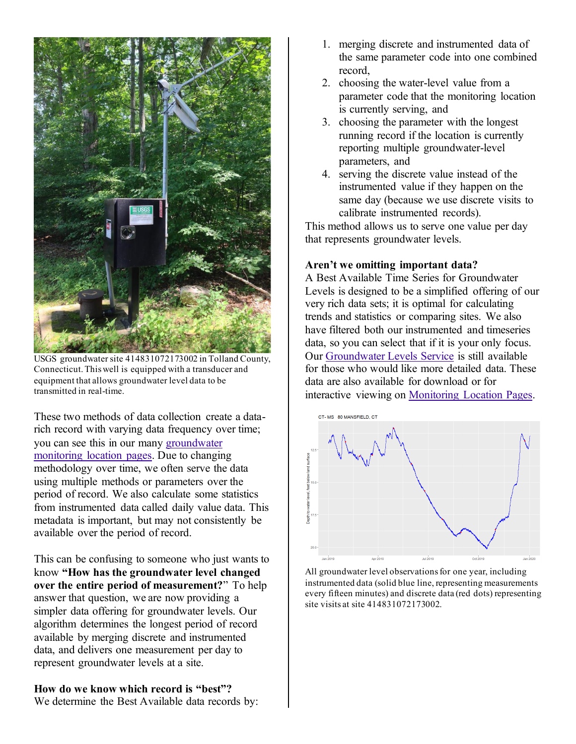

USGS groundwater site 414831072173002 in Tolland County, Connecticut. This well is equipped with a transducer and equipment that allows groundwater level data to be transmitted in real-time.

These two methods of data collection create a datarich record with varying data frequency over time; you can see this in our many [groundwater](https://waterdata.usgs.gov/blog/groundwater-field-visits-monitoring-location-pages/)  [monitoring location pages.](https://waterdata.usgs.gov/blog/groundwater-field-visits-monitoring-location-pages/) Due to changing methodology over time, we often serve the data using multiple methods or parameters over the period of record. We also calculate some statistics from instrumented data called daily value data. This metadata is important, but may not consistently be available over the period of record.

This can be confusing to someone who just wants to know **"How has the groundwater level changed over the entire period of measurement?**" To help answer that question, we are now providing a simpler data offering for groundwater levels. Our algorithm determines the longest period of record available by merging discrete and instrumented data, and delivers one measurement per day to represent groundwater levels at a site.

#### **How do we know which record is "best"?**

We determine the Best Available data records by:

- 1. merging discrete and instrumented data of the same parameter code into one combined record,
- 2. choosing the water-level value from a parameter code that the monitoring location is currently serving, and
- 3. choosing the parameter with the longest running record if the location is currently reporting multiple groundwater-level parameters, and
- 4. serving the discrete value instead of the instrumented value if they happen on the same day (because we use discrete visits to calibrate instrumented records).

This method allows us to serve one value per day that represents groundwater levels.

#### **Aren't we omitting important data?**

A Best Available Time Series for Groundwater Levels is designed to be a simplified offering of our very rich data sets; it is optimal for calculating trends and statistics or comparing sites. We also have filtered both our instrumented and timeseries data, so you can select that if it is your only focus. Our [Groundwater Levels Service](https://waterservices.usgs.gov/rest/GW-Levels-Test-Tool.html) is still available for those who would like more detailed data. These data are also available for download or for interactive viewing on [Monitoring Location Pages.](https://waterdata.usgs.gov/blog/how-to-use-nextgen-pages/)



All groundwater level observations for one year, including instrumented data (solid blue line, representing measurements every fifteen minutes) and discrete data (red dots) representing site visits at site 414831072173002.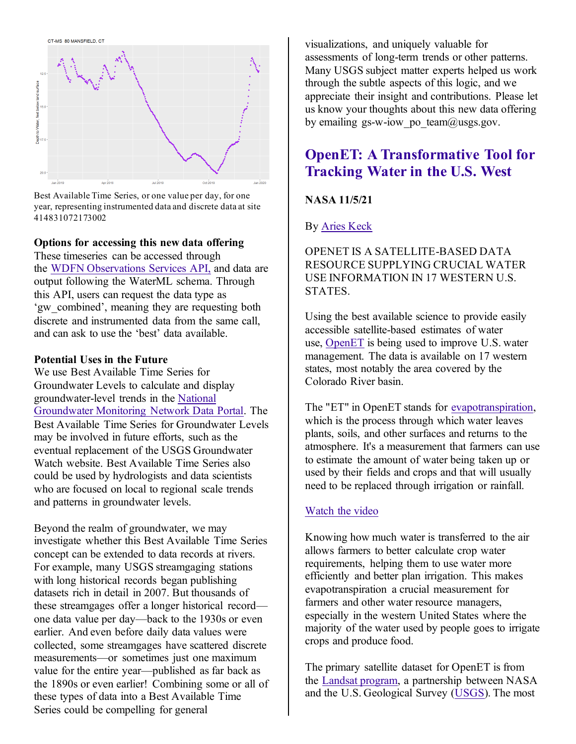

Best Available Time Series, or one value per day, for one year, representing instrumented data and discrete data at site 414831072173002

#### **Options for accessing this new data offering**

These timeseries can be accessed through the [WDFN Observations Services API,](https://labs.waterdata.usgs.gov/api/observations/swagger-ui/index.html?url=%2Fapi%2Fobservations%2Fv3%2Fapi-docs#%2FObservations%20Data%20Sets%2FgetTimeSeries) and data are output following the WaterML schema. Through this API, users can request the data type as 'gw\_combined', meaning they are requesting both discrete and instrumented data from the same call, and can ask to use the 'best' data available.

#### **Potential Uses in the Future**

We use Best Available Time Series for Groundwater Levels to calculate and display groundwater-level trends in the [National](https://cida.usgs.gov/ngwmn/index.jsp)  [Groundwater Monitoring Network Data Portal.](https://cida.usgs.gov/ngwmn/index.jsp) The Best Available Time Series for Groundwater Levels may be involved in future efforts, such as the eventual replacement of the USGS Groundwater Watch website. Best Available Time Series also could be used by hydrologists and data scientists who are focused on local to regional scale trends and patterns in groundwater levels.

Beyond the realm of groundwater, we may investigate whether this Best Available Time Series concept can be extended to data records at rivers. For example, many USGS streamgaging stations with long historical records began publishing datasets rich in detail in 2007. But thousands of these streamgages offer a longer historical record one data value per day—back to the 1930s or even earlier. And even before daily data values were collected, some streamgages have scattered discrete measurements—or sometimes just one maximum value for the entire year—published as far back as the 1890s or even earlier! Combining some or all of these types of data into a Best Available Time Series could be compelling for general

visualizations, and uniquely valuable for assessments of long-term trends or other patterns. Many USGS subject matter experts helped us work through the subtle aspects of this logic, and we appreciate their insight and contributions. Please let us know your thoughts about this new data offering by emailing gs-w-iow po\_team $@$ usgs.gov.

# **[OpenET: A Transformative Tool for](https://appliedsciences.nasa.gov/our-impact/story/openet-transformative-tool-tracking-water-us-west)  [Tracking Water in the U.S. West](https://appliedsciences.nasa.gov/our-impact/story/openet-transformative-tool-tracking-water-us-west)**

#### **NASA 11/5/21**

By [Aries Keck](https://appliedsciences.nasa.gov/about/our-team/aries-keck)

#### OPENET IS A SATELLITE-BASED DATA RESOURCE SUPPLYING CRUCIAL WATER USE INFORMATION IN 17 WESTERN U.S. STATES.

Using the best available science to provide easily accessible satellite-based estimates of water use, [OpenET](https://openetdata.org/) is being used to improve U.S. water management. The data is available on 17 western states, most notably the area covered by the Colorado River basin.

The "ET" in OpenET stands for evapotranspiration, which is the process through which water leaves plants, soils, and other surfaces and returns to the atmosphere. It's a measurement that farmers can use to estimate the amount of water being taken up or used by their fields and crops and that will usually need to be replaced through irrigation or rainfall.

#### [Watch the video](https://youtu.be/l1W8HRTg4Gw)

Knowing how much water is transferred to the air allows farmers to better calculate crop water requirements, helping them to use water more efficiently and better plan irrigation. This makes evapotranspiration a crucial measurement for farmers and other water resource managers, especially in the western United States where the majority of the water used by people goes to irrigate crops and produce food.

The primary satellite dataset for OpenET is from the [Landsat program,](https://www.nasa.gov/mission_pages/landsat/main/index.html) a partnership between NASA and the U.S. Geological Survey [\(USGS\)](https://www.usgs.gov/). The most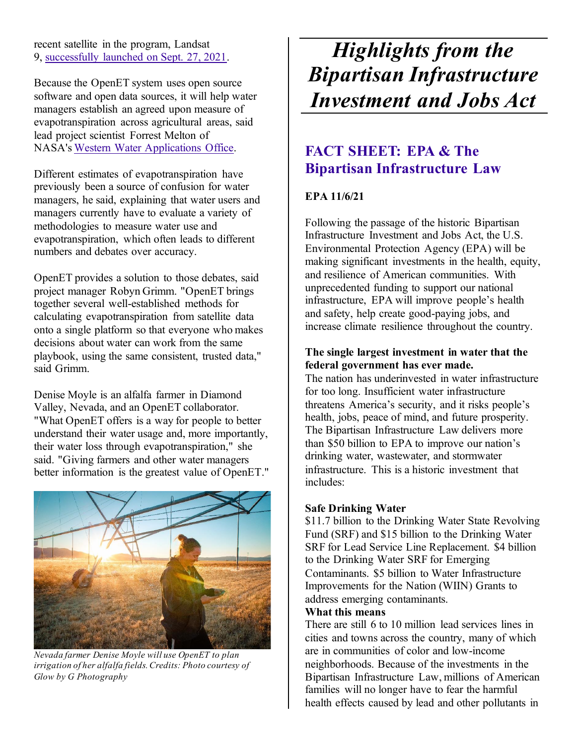recent satellite in the program, Landsat 9, [successfully launched on Sept. 27, 2021.](https://www.nasa.gov/press-release/nasa-launches-new-mission-to-monitor-earth-s-landscapes)

Because the OpenET system uses open source software and open data sources, it will help water managers establish an agreed upon measure of evapotranspiration across agricultural areas, said lead project scientist Forrest Melton of NASA's [Western Water Applications Office.](https://wwao.jpl.nasa.gov/)

Different estimates of evapotranspiration have previously been a source of confusion for water managers, he said, explaining that water users and managers currently have to evaluate a variety of methodologies to measure water use and evapotranspiration, which often leads to different numbers and debates over accuracy.

OpenET provides a solution to those debates, said project manager Robyn Grimm. "OpenET brings together several well-established methods for calculating evapotranspiration from satellite data onto a single platform so that everyone who makes decisions about water can work from the same playbook, using the same consistent, trusted data," said Grimm.

Denise Moyle is an alfalfa farmer in Diamond Valley, Nevada, and an OpenET collaborator. "What OpenET offers is a way for people to better understand their water usage and, more importantly, their water loss through evapotranspiration," she said. "Giving farmers and other water managers better information is the greatest value of OpenET."



*Nevada farmer Denise Moyle will use OpenET to plan irrigation of her alfalfa fields. Credits: Photo courtesy of Glow by G Photography*

# *Highlights from the Bipartisan Infrastructure Investment and Jobs Act*

# **[FACT SHEET: EPA & The](https://www.epa.gov/newsreleases/fact-sheet-epa-bipartisan-infrastructure-law)  [Bipartisan Infrastructure Law](https://www.epa.gov/newsreleases/fact-sheet-epa-bipartisan-infrastructure-law)**

#### **EPA 11/6/21**

Following the passage of the historic Bipartisan Infrastructure Investment and Jobs Act, the U.S. Environmental Protection Agency (EPA) will be making significant investments in the health, equity, and resilience of American communities. With unprecedented funding to support our national infrastructure, EPA will improve people's health and safety, help create good-paying jobs, and increase climate resilience throughout the country.

#### **The single largest investment in water that the federal government has ever made.**

The nation has underinvested in water infrastructure for too long. Insufficient water infrastructure threatens America's security, and it risks people's health, jobs, peace of mind, and future prosperity. The Bipartisan Infrastructure Law delivers more than \$50 billion to EPA to improve our nation's drinking water, wastewater, and stormwater infrastructure. This is a historic investment that includes:

#### **Safe Drinking Water**

\$11.7 billion to the Drinking Water State Revolving Fund (SRF) and \$15 billion to the Drinking Water SRF for Lead Service Line Replacement. \$4 billion to the Drinking Water SRF for Emerging Contaminants. \$5 billion to Water Infrastructure Improvements for the Nation (WIIN) Grants to address emerging contaminants.

#### **What this means**

There are still 6 to 10 million lead services lines in cities and towns across the country, many of which are in communities of color and low-income neighborhoods. Because of the investments in the Bipartisan Infrastructure Law, millions of American families will no longer have to fear the harmful health effects caused by lead and other pollutants in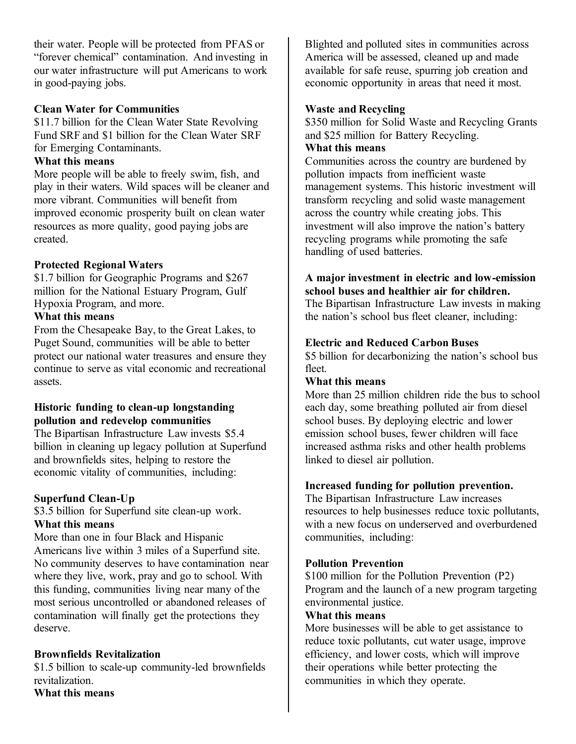their water. People will be protected from PFAS or "forever chemical" contamination. And investing in our water infrastructure will put Americans to work in good-paying jobs.

#### **Clean Water for Communities**

\$11.7 billion for the Clean Water State Revolving Fund SRF and \$1 billion for the Clean Water SRF for Emerging Contaminants.

#### **What this means**

More people will be able to freely swim, fish, and play in their waters. Wild spaces will be cleaner and more vibrant. Communities will benefit from improved economic prosperity built on clean water resources as more quality, good paying jobs are created.

#### **Protected Regional Waters**

\$1.7 billion for Geographic Programs and \$267 million for the National Estuary Program, Gulf Hypoxia Program, and more.

#### **What this means**

From the Chesapeake Bay, to the Great Lakes, to Puget Sound, communities will be able to better protect our national water treasures and ensure they continue to serve as vital economic and recreational assets.

#### **Historic funding to clean-up longstanding pollution and redevelop communities**

The Bipartisan Infrastructure Law invests \$5.4 billion in cleaning up legacy pollution at Superfund and brownfields sites, helping to restore the economic vitality of communities, including:

#### **Superfund Clean-Up**

\$3.5 billion for Superfund site clean-up work.

#### **What this means**

More than one in four Black and Hispanic Americans live within 3 miles of a Superfund site. No community deserves to have contamination near where they live, work, pray and go to school. With this funding, communities living near many of the most serious uncontrolled or abandoned releases of contamination will finally get the protections they deserve.

#### **Brownfields Revitalization**

\$1.5 billion to scale-up community-led brownfields revitalization. **What this means**

Blighted and polluted sites in communities across America will be assessed, cleaned up and made available for safe reuse, spurring job creation and economic opportunity in areas that need it most.

#### **Waste and Recycling**

\$350 million for Solid Waste and Recycling Grants and \$25 million for Battery Recycling.

#### **What this means**

Communities across the country are burdened by pollution impacts from inefficient waste management systems. This historic investment will transform recycling and solid waste management across the country while creating jobs. This investment will also improve the nation's battery recycling programs while promoting the safe handling of used batteries.

### **A major investment in electric and low-emission school buses and healthier air for children.**

The Bipartisan Infrastructure Law invests in making the nation's school bus fleet cleaner, including:

#### **Electric and Reduced Carbon Buses**

\$5 billion for decarbonizing the nation's school bus fleet.

#### **What this means**

More than 25 million children ride the bus to school each day, some breathing polluted air from diesel school buses. By deploying electric and lower emission school buses, fewer children will face increased asthma risks and other health problems linked to diesel air pollution.

#### **Increased funding for pollution prevention.**

The Bipartisan Infrastructure Law increases resources to help businesses reduce toxic pollutants, with a new focus on underserved and overburdened communities, including:

#### **Pollution Prevention**

\$100 million for the Pollution Prevention (P2) Program and the launch of a new program targeting environmental justice.

#### **What this means**

More businesses will be able to get assistance to reduce toxic pollutants, cut water usage, improve efficiency, and lower costs, which will improve their operations while better protecting the communities in which they operate.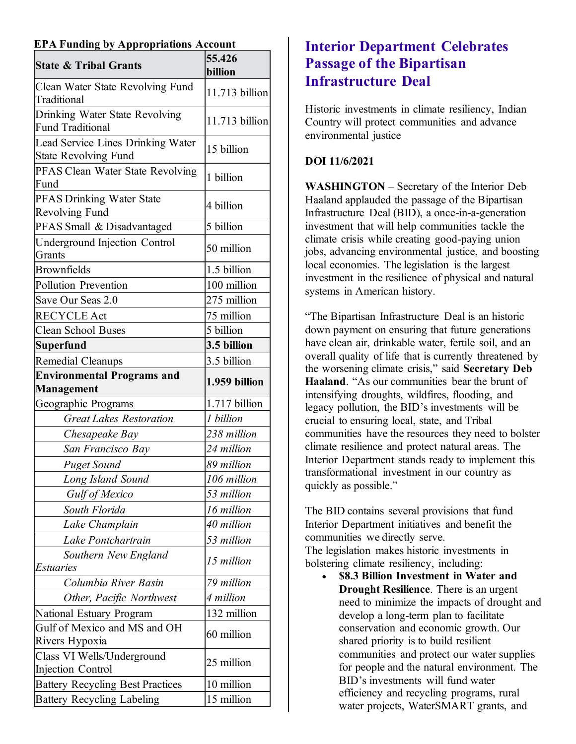#### **EPA Funding by Appropriations Account**

| <b>State &amp; Tribal Grants</b>                                 | 55.426<br>billion |
|------------------------------------------------------------------|-------------------|
| Clean Water State Revolving Fund<br>Traditional                  | 11.713 billion    |
| Drinking Water State Revolving<br><b>Fund Traditional</b>        | 11.713 billion    |
| Lead Service Lines Drinking Water<br><b>State Revolving Fund</b> | 15 billion        |
| PFAS Clean Water State Revolving<br>Fund                         | 1 billion         |
| <b>PFAS Drinking Water State</b><br><b>Revolving Fund</b>        | 4 billion         |
| PFAS Small & Disadvantaged                                       | 5 billion         |
| <b>Underground Injection Control</b><br>Grants                   | 50 million        |
| <b>Brownfields</b>                                               | 1.5 billion       |
| <b>Pollution Prevention</b>                                      | 100 million       |
| Save Our Seas 2.0                                                | 275 million       |
| <b>RECYCLE Act</b>                                               | 75 million        |
| <b>Clean School Buses</b>                                        | 5 billion         |
| Superfund                                                        | 3.5 billion       |
| <b>Remedial Cleanups</b>                                         | 3.5 billion       |
| <b>Environmental Programs and</b><br>Management                  | 1.959 billion     |
| Geographic Programs                                              | 1.717 billion     |
| <b>Great Lakes Restoration</b>                                   | 1 billion         |
| Chesapeake Bay                                                   | 238 million       |
| San Francisco Bay                                                | 24 million        |
| <b>Puget Sound</b>                                               | 89 million        |
| Long Island Sound                                                | 106 million       |
| <b>Gulf of Mexico</b>                                            | 53 million        |
| South Florida                                                    | 16 million        |
| Lake Champlain                                                   | 40 million        |
| Lake Pontchartrain                                               | 53 million        |
| Southern New England<br>Estuaries                                | 15 million        |
| Columbia River Basin                                             | 79 million        |
| Other, Pacific Northwest                                         | 4 million         |
| National Estuary Program                                         | 132 million       |
| Gulf of Mexico and MS and OH<br>Rivers Hypoxia                   | 60 million        |
| Class VI Wells/Underground<br><b>Injection Control</b>           | 25 million        |
| <b>Battery Recycling Best Practices</b>                          | 10 million        |
| <b>Battery Recycling Labeling</b>                                | 15 million        |

# **[Interior Department Celebrates](https://www.doi.gov/pressreleases/interior-department-celebrates-passage-bipartisan-infrastructure-deal)  [Passage of the Bipartisan](https://www.doi.gov/pressreleases/interior-department-celebrates-passage-bipartisan-infrastructure-deal)  [Infrastructure Deal](https://www.doi.gov/pressreleases/interior-department-celebrates-passage-bipartisan-infrastructure-deal)**

Historic investments in climate resiliency, Indian Country will protect communities and advance environmental justice

#### **DOI 11/6/2021**

**WASHINGTON** – Secretary of the Interior Deb Haaland applauded the passage of the Bipartisan Infrastructure Deal (BID), a once-in-a-generation investment that will help communities tackle the climate crisis while creating good-paying union jobs, advancing environmental justice, and boosting local economies. The legislation is the largest investment in the resilience of physical and natural systems in American history.

"The Bipartisan Infrastructure Deal is an historic down payment on ensuring that future generations have clean air, drinkable water, fertile soil, and an overall quality of life that is currently threatened by the worsening climate crisis," said **Secretary Deb Haaland**. "As our communities bear the brunt of intensifying droughts, wildfires, flooding, and legacy pollution, the BID's investments will be crucial to ensuring local, state, and Tribal communities have the resources they need to bolster climate resilience and protect natural areas. The Interior Department stands ready to implement this transformational investment in our country as quickly as possible."

The BID contains several provisions that fund Interior Department initiatives and benefit the communities we directly serve. The legislation makes historic investments in bolstering climate resiliency, including:

• **\$8.3 Billion Investment in Water and Drought Resilience**. There is an urgent need to minimize the impacts of drought and develop a long-term plan to facilitate conservation and economic growth. Our shared priority is to build resilient communities and protect our water supplies for people and the natural environment. The BID's investments will fund water efficiency and recycling programs, rural water projects, WaterSMART grants, and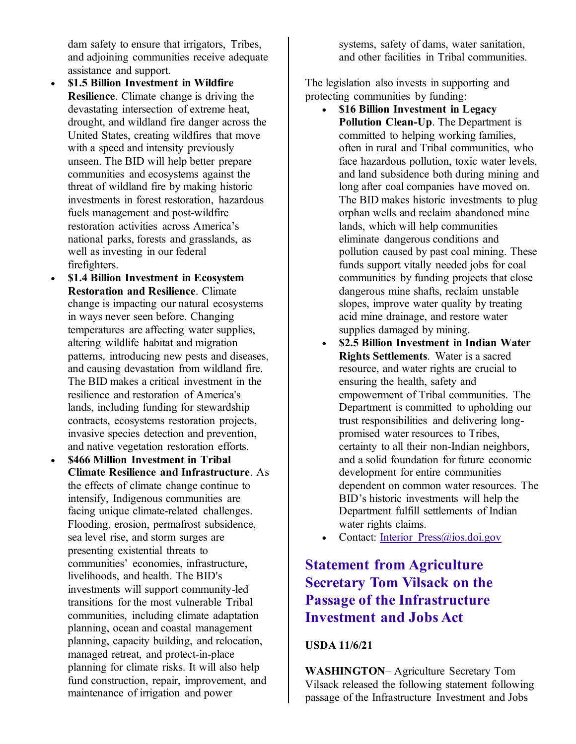dam safety to ensure that irrigators, Tribes, and adjoining communities receive adequate assistance and support.

- **\$1.5 Billion Investment in Wildfire Resilience**. Climate change is driving the devastating intersection of extreme heat, drought, and wildland fire danger across the United States, creating wildfires that move with a speed and intensity previously unseen. The BID will help better prepare communities and ecosystems against the threat of wildland fire by making historic investments in forest restoration, hazardous fuels management and post-wildfire restoration activities across America's national parks, forests and grasslands, as well as investing in our federal firefighters.
- **\$1.4 Billion Investment in Ecosystem Restoration and Resilience**. Climate change is impacting our natural ecosystems in ways never seen before. Changing temperatures are affecting water supplies, altering wildlife habitat and migration patterns, introducing new pests and diseases, and causing devastation from wildland fire. The BID makes a critical investment in the resilience and restoration of America's lands, including funding for stewardship contracts, ecosystems restoration projects, invasive species detection and prevention, and native vegetation restoration efforts.
- **\$466 Million Investment in Tribal Climate Resilience and Infrastructure**. As the effects of climate change continue to intensify, Indigenous communities are facing unique climate-related challenges. Flooding, erosion, permafrost subsidence, sea level rise, and storm surges are presenting existential threats to communities' economies, infrastructure, livelihoods, and health. The BID's investments will support community-led transitions for the most vulnerable Tribal communities, including climate adaptation planning, ocean and coastal management planning, capacity building, and relocation, managed retreat, and protect-in-place planning for climate risks. It will also help fund construction, repair, improvement, and maintenance of irrigation and power

systems, safety of dams, water sanitation, and other facilities in Tribal communities.

The legislation also invests in supporting and protecting communities by funding:

- **\$16 Billion Investment in Legacy Pollution Clean-Up**. The Department is committed to helping working families, often in rural and Tribal communities, who face hazardous pollution, toxic water levels, and land subsidence both during mining and long after coal companies have moved on. The BID makes historic investments to plug orphan wells and reclaim abandoned mine lands, which will help communities eliminate dangerous conditions and pollution caused by past coal mining. These funds support vitally needed jobs for coal communities by funding projects that close dangerous mine shafts, reclaim unstable slopes, improve water quality by treating acid mine drainage, and restore water supplies damaged by mining.
- **\$2.5 Billion Investment in Indian Water Rights Settlements**. Water is a sacred resource, and water rights are crucial to ensuring the health, safety and empowerment of Tribal communities. The Department is committed to upholding our trust responsibilities and delivering longpromised water resources to Tribes, certainty to all their non-Indian neighbors, and a solid foundation for future economic development for entire communities dependent on common water resources. The BID's historic investments will help the Department fulfill settlements of Indian water rights claims.
- Contact: Interior Press@ios.doi.gov

# **[Statement from Agriculture](https://www.usda.gov/media/press-releases/2021/11/06/statement-agriculture-secretary-tom-vilsack-passage-infrastructure)  [Secretary Tom Vilsack on the](https://www.usda.gov/media/press-releases/2021/11/06/statement-agriculture-secretary-tom-vilsack-passage-infrastructure)  [Passage of the Infrastructure](https://www.usda.gov/media/press-releases/2021/11/06/statement-agriculture-secretary-tom-vilsack-passage-infrastructure)  [Investment and Jobs Act](https://www.usda.gov/media/press-releases/2021/11/06/statement-agriculture-secretary-tom-vilsack-passage-infrastructure)**

#### **USDA 11/6/21**

**WASHINGTON**– Agriculture Secretary Tom Vilsack released the following statement following passage of the Infrastructure Investment and Jobs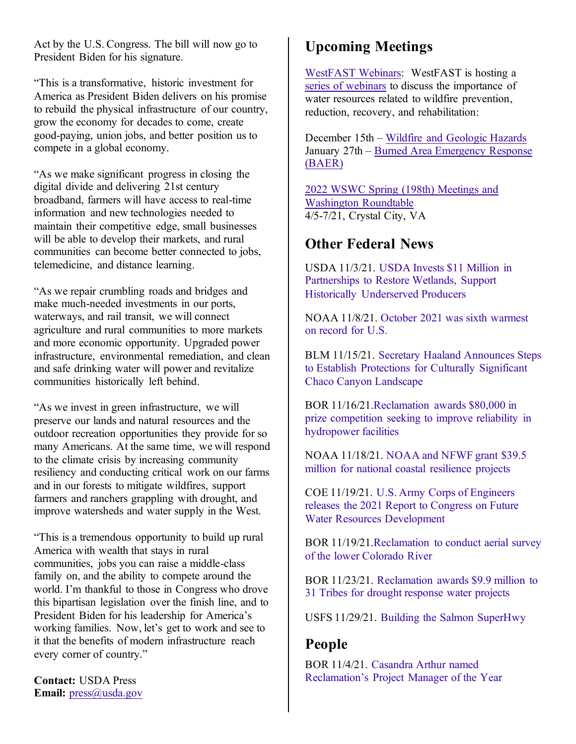Act by the U.S. Congress. The bill will now go to President Biden for his signature.

"This is a transformative, historic investment for America as President Biden delivers on his promise to rebuild the physical infrastructure of our country, grow the economy for decades to come, create good-paying, union jobs, and better position us to compete in a global economy.

"As we make significant progress in closing the digital divide and delivering 21st century broadband, farmers will have access to real-time information and new technologies needed to maintain their competitive edge, small businesses will be able to develop their markets, and rural communities can become better connected to jobs, telemedicine, and distance learning.

"As we repair crumbling roads and bridges and make much-needed investments in our ports, waterways, and rail transit, we will connect agriculture and rural communities to more markets and more economic opportunity. Upgraded power infrastructure, environmental remediation, and clean and safe drinking water will power and revitalize communities historically left behind.

"As we invest in green infrastructure, we will preserve our lands and natural resources and the outdoor recreation opportunities they provide for so many Americans. At the same time, we will respond to the climate crisis by increasing community resiliency and conducting critical work on our farms and in our forests to mitigate wildfires, support farmers and ranchers grappling with drought, and improve watersheds and water supply in the West.

"This is a tremendous opportunity to build up rural America with wealth that stays in rural communities, jobs you can raise a middle-class family on, and the ability to compete around the world. I'm thankful to those in Congress who drove this bipartisan legislation over the finish line, and to President Biden for his leadership for America's working families. Now, let's get to work and see to it that the benefits of modern infrastructure reach every corner of country."

**Contact:** USDA Press **Email:** [press@usda.gov](mailto:press@usda.gov)

# **Upcoming Meetings**

[WestFAST Webinars:](https://westernstateswater.org/westfast/) WestFAST is hosting a [series of webinars](https://westernstateswater.org/upcoming-westfast-webinars/) to discuss the importance of water resources related to wildfire prevention, reduction, recovery, and rehabilitation:

December 15th – [Wildfire and Geologic Hazards](https://westernstateswater.org/?post_type=mec-events&p=22137&preview=true) January 27th – [Burned Area Emergency Response](https://westernstateswater.org/events/burned-area-emergency-response-baer/)  [\(BAER\)](https://westernstateswater.org/events/burned-area-emergency-response-baer/)

[2022 WSWC Spring \(198th\) Meetings and](https://westernstateswater.org/events/2022-wswc-spring-198th-meetings-and-washington-roundtable/)  [Washington Roundtable](https://westernstateswater.org/events/2022-wswc-spring-198th-meetings-and-washington-roundtable/) 4/5-7/21, Crystal City, VA

## **Other Federal News**

USDA 11/3/21. [USDA Invests \\$11 Million in](https://www.nrcs.usda.gov/wps/portal/nrcs/detail/national/newsroom/releases/?cid=NRCSEPRD1843072)  [Partnerships to Restore Wetlands, Support](https://www.nrcs.usda.gov/wps/portal/nrcs/detail/national/newsroom/releases/?cid=NRCSEPRD1843072)  [Historically Underserved Producers](https://www.nrcs.usda.gov/wps/portal/nrcs/detail/national/newsroom/releases/?cid=NRCSEPRD1843072)

NOAA 11/8/21. [October 2021 was sixth warmest](https://www.noaa.gov/news/october-2021-was-sixth-warmest-on-record-for-us)  [on record for U.S.](https://www.noaa.gov/news/october-2021-was-sixth-warmest-on-record-for-us)

BLM 11/15/21. [Secretary Haaland Announces Steps](https://www.blm.gov/press-release/secretary-haaland-announces-steps-establish-protections-culturally-significant-chaco)  [to Establish Protections for Culturally Significant](https://www.blm.gov/press-release/secretary-haaland-announces-steps-establish-protections-culturally-significant-chaco)  [Chaco Canyon Landscape](https://www.blm.gov/press-release/secretary-haaland-announces-steps-establish-protections-culturally-significant-chaco)

BOR 11/16/21[.Reclamation awards \\$80,000 in](https://www.usbr.gov/newsroom/#/news-release/4038)  [prize competition seeking to improve reliability in](https://www.usbr.gov/newsroom/#/news-release/4038)  [hydropower facilities](https://www.usbr.gov/newsroom/#/news-release/4038)

NOAA 11/18/21. [NOAA and NFWF grant \\$39.5](https://www.noaa.gov/news-release/noaa-and-nfwf-grant-395-million-for-national-coastal-resilience-projects)  [million for national coastal resilience projects](https://www.noaa.gov/news-release/noaa-and-nfwf-grant-395-million-for-national-coastal-resilience-projects)

COE 11/19/21. [U.S. Army Corps of Engineers](https://www.usace.army.mil/Media/News-Releases/News-Release-Article-View/Article/2848848/us-army-corps-of-engineers-releases-the-2021-report-to-congress-on-future-water/)  [releases the 2021 Report to Congress on Future](https://www.usace.army.mil/Media/News-Releases/News-Release-Article-View/Article/2848848/us-army-corps-of-engineers-releases-the-2021-report-to-congress-on-future-water/)  [Water Resources Development](https://www.usace.army.mil/Media/News-Releases/News-Release-Article-View/Article/2848848/us-army-corps-of-engineers-releases-the-2021-report-to-congress-on-future-water/)

BOR 11/19/21[.Reclamation to conduct aerial survey](https://www.usbr.gov/newsroom/#/news-release/4040)  [of the lower Colorado River](https://www.usbr.gov/newsroom/#/news-release/4040)

BOR 11/23/21. [Reclamation awards \\$9.9 million to](https://www.usbr.gov/newsroom/#/news-release/4044)  [31 Tribes for drought response water projects](https://www.usbr.gov/newsroom/#/news-release/4044)

USFS 11/29/21. [Building the Salmon SuperHwy](https://www.fs.usda.gov/features/building-salmon-superhwy)

# **People**

BOR 11/4/21. [Casandra Arthur named](https://www.usbr.gov/newsroom/#/news-release/4024)  [Reclamation's Project Manager of the Year](https://www.usbr.gov/newsroom/#/news-release/4024)